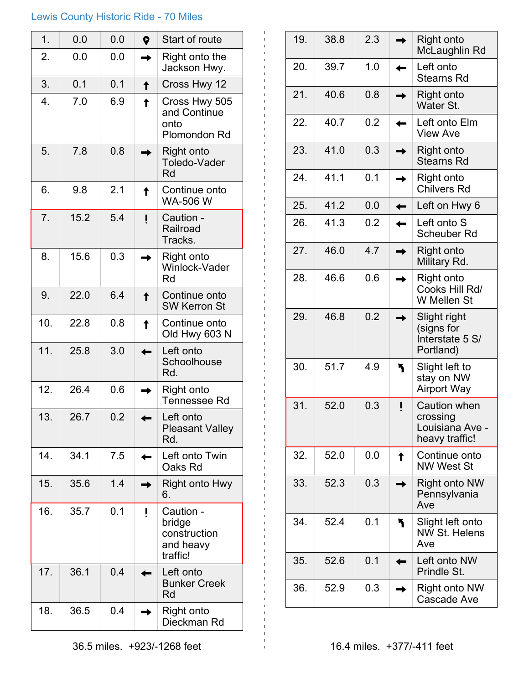## Lewis County Historic Ride - 70 Miles

| 1.               | 0.0  | 0.0 | $\bullet$ | Start of route                                               |
|------------------|------|-----|-----------|--------------------------------------------------------------|
| 2.               | 0.0  | 0.0 |           | Right onto the<br>Jackson Hwy.                               |
| 3.               | 0.1  | 0.1 |           | Cross Hwy 12                                                 |
| $\overline{4}$ . | 7.0  | 6.9 |           | Cross Hwy 505<br>and Continue<br>onto<br>Plomondon Rd        |
| 5.               | 7.8  | 0.8 |           | Right onto<br>Toledo-Vader<br>Rd                             |
| 6.               | 9.8  | 2.1 |           | Continue onto<br>WA-506 W                                    |
| 7.               | 15.2 | 5.4 |           | Caution -<br>Railroad<br>Tracks.                             |
| 8.               | 15.6 | 0.3 |           | Right onto<br>Winlock-Vader<br>Rd                            |
| 9.               | 22.0 | 6.4 |           | Continue onto<br><b>SW Kerron St</b>                         |
| 10.              | 22.8 | 0.8 |           | Continue onto<br>Old Hwy 603 N                               |
| 11.              | 25.8 | 3.0 |           | Left onto<br>Schoolhouse<br>Rd.                              |
| 12.              | 26.4 | 0.6 |           | Right onto<br><b>Tennessee Rd</b>                            |
| 13.              | 26.7 | 0.2 |           | Left onto<br><b>Pleasant Valley</b><br>Rd.                   |
| 14.              | 34.1 | 7.5 |           | Left onto Twin<br>Oaks Rd                                    |
| 15.              | 35.6 | 1.4 |           | Right onto Hwy<br>6.                                         |
| 16.              | 35.7 | 0.1 |           | Caution -<br>bridge<br>construction<br>and heavy<br>traffic! |
| 17.              | 36.1 | 0.4 |           | Left onto<br><b>Bunker Creek</b><br>Rd                       |
| 18.              | 36.5 | 0.4 |           | Right onto<br>Dieckman Rd                                    |

| 19. | 38.8 | 2.3 | Right onto<br>McLaughlin Rd                                          |
|-----|------|-----|----------------------------------------------------------------------|
| 20. | 39.7 | 1.0 | Left onto<br><b>Stearns Rd</b>                                       |
| 21. | 40.6 | 0.8 | <b>Right onto</b><br>Water St.                                       |
| 22. | 40.7 | 0.2 | Left onto Elm<br><b>View Ave</b>                                     |
| 23. | 41.0 | 0.3 | Right onto<br><b>Stearns Rd</b>                                      |
| 24. | 41.1 | 0.1 | <b>Right onto</b><br><b>Chilvers Rd</b>                              |
| 25. | 41.2 | 0.0 | Left on Hwy 6                                                        |
| 26. | 41.3 | 0.2 | Left onto S<br>Scheuber Rd                                           |
| 27. | 46.0 | 4.7 | Right onto<br>Military Rd.                                           |
| 28. | 46.6 | 0.6 | Right onto<br>Cooks Hill Rd/<br>W Mellen St                          |
| 29. | 46.8 | 0.2 | Slight right<br>(signs for<br>Interstate 5 S/<br>Portland)           |
| 30. | 51.7 | 4.9 | Slight left to<br>stay on NW<br><b>Airport Way</b>                   |
| 31. | 52.0 | 0.3 | <b>Caution when</b><br>crossing<br>Louisiana Ave -<br>heavy traffic! |
| 32. | 52.0 | 0.0 | Continue onto<br><b>NW West St</b>                                   |
| 33. | 52.3 | 0.3 | <b>Right onto NW</b><br>Pennsylvania<br>Ave                          |
| 34. | 52.4 | 0.1 | Slight left onto<br><b>NW St. Helens</b><br>Ave                      |
| 35. | 52.6 | 0.1 | Left onto NW<br>Prindle St.                                          |
| 36. | 52.9 | 0.3 | Right onto NW<br>Cascade Ave                                         |